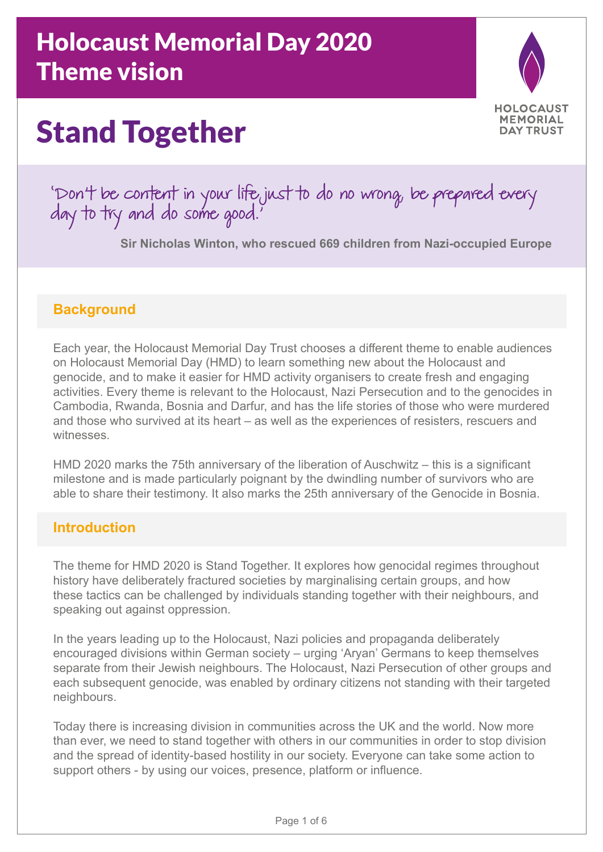# Holocaust Memorial Day 2020 Theme vision

# Stand Together



'Don't be content in your life just to do no wrong, be prepared every day to try and do some good.'

**Sir Nicholas Winton, who rescued 669 children from Nazi-occupied Europe** 

#### **Background**

Each year, the Holocaust Memorial Day Trust chooses a different theme to enable audiences on Holocaust Memorial Day (HMD) to learn something new about the Holocaust and genocide, and to make it easier for HMD activity organisers to create fresh and engaging activities. Every theme is relevant to the Holocaust, Nazi Persecution and to the genocides in Cambodia, Rwanda, Bosnia and Darfur, and has the life stories of those who were murdered and those who survived at its heart – as well as the experiences of resisters, rescuers and witnesses.

HMD 2020 marks the 75th anniversary of the liberation of Auschwitz – this is a significant milestone and is made particularly poignant by the dwindling number of survivors who are able to share their testimony. It also marks the 25th anniversary of the Genocide in Bosnia.

### **Introduction**

The theme for HMD 2020 is Stand Together. It explores how genocidal regimes throughout history have deliberately fractured societies by marginalising certain groups, and how these tactics can be challenged by individuals standing together with their neighbours, and speaking out against oppression.

In the years leading up to the Holocaust, Nazi policies and propaganda deliberately encouraged divisions within German society – urging 'Aryan' Germans to keep themselves separate from their Jewish neighbours. The Holocaust, Nazi Persecution of other groups and each subsequent genocide, was enabled by ordinary citizens not standing with their targeted neighbours.

Today there is increasing division in communities across the UK and the world. Now more than ever, we need to stand together with others in our communities in order to stop division and the spread of identity-based hostility in our society. Everyone can take some action to support others - by using our voices, presence, platform or influence.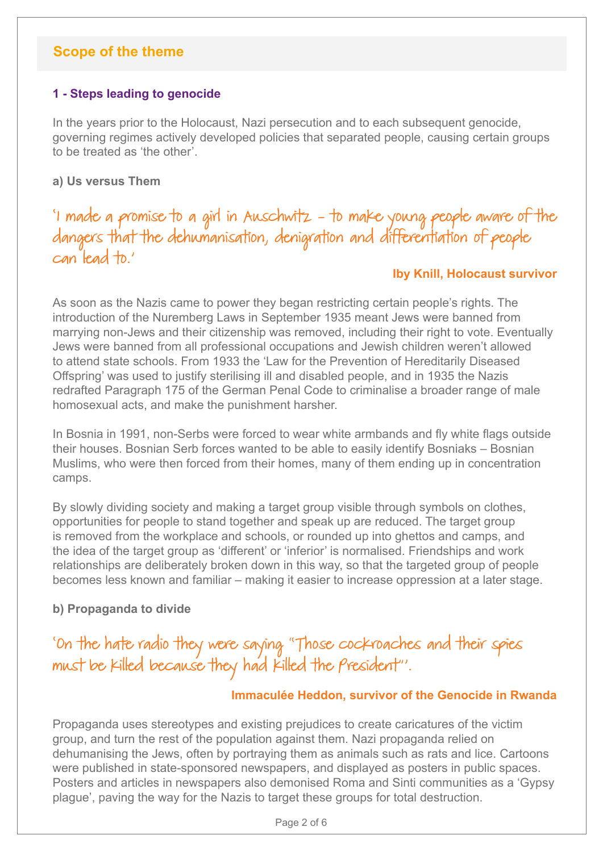### **Scope of the theme**

#### **1 - Steps leading to genocide**

In the years prior to the Holocaust, Nazi persecution and to each subsequent genocide, governing regimes actively developed policies that separated people, causing certain groups to be treated as 'the other'.

**a) Us versus Them**

## 'I made a promise to a girl in Auschwitz - to make young people aware of the dangers that the dehumanisation, denigration and differentiation of people can lead to.'

#### **Iby Knill, Holocaust survivor**

As soon as the Nazis came to power they began restricting certain people's rights. The introduction of the Nuremberg Laws in September 1935 meant Jews were banned from marrying non-Jews and their citizenship was removed, including their right to vote. Eventually Jews were banned from all professional occupations and Jewish children weren't allowed to attend state schools. From 1933 the 'Law for the Prevention of Hereditarily Diseased Offspring' was used to justify sterilising ill and disabled people, and in 1935 the Nazis redrafted Paragraph 175 of the German Penal Code to criminalise a broader range of male homosexual acts, and make the punishment harsher.

In Bosnia in 1991, non-Serbs were forced to wear white armbands and fly white flags outside their houses. Bosnian Serb forces wanted to be able to easily identify Bosniaks – Bosnian Muslims, who were then forced from their homes, many of them ending up in concentration camps.

By slowly dividing society and making a target group visible through symbols on clothes, opportunities for people to stand together and speak up are reduced. The target group is removed from the workplace and schools, or rounded up into ghettos and camps, and the idea of the target group as 'different' or 'inferior' is normalised. Friendships and work relationships are deliberately broken down in this way, so that the targeted group of people becomes less known and familiar – making it easier to increase oppression at a later stage.

#### **b) Propaganda to divide**

# 'On the hate radio they were saying "Those cockroaches and their spies must be killed because they had killed the President"'.

#### **Immaculée Heddon, survivor of the Genocide in Rwanda**

Propaganda uses stereotypes and existing prejudices to create caricatures of the victim group, and turn the rest of the population against them. Nazi propaganda relied on dehumanising the Jews, often by portraying them as animals such as rats and lice. Cartoons were published in state-sponsored newspapers, and displayed as posters in public spaces. Posters and articles in newspapers also demonised Roma and Sinti communities as a 'Gypsy plague', paving the way for the Nazis to target these groups for total destruction.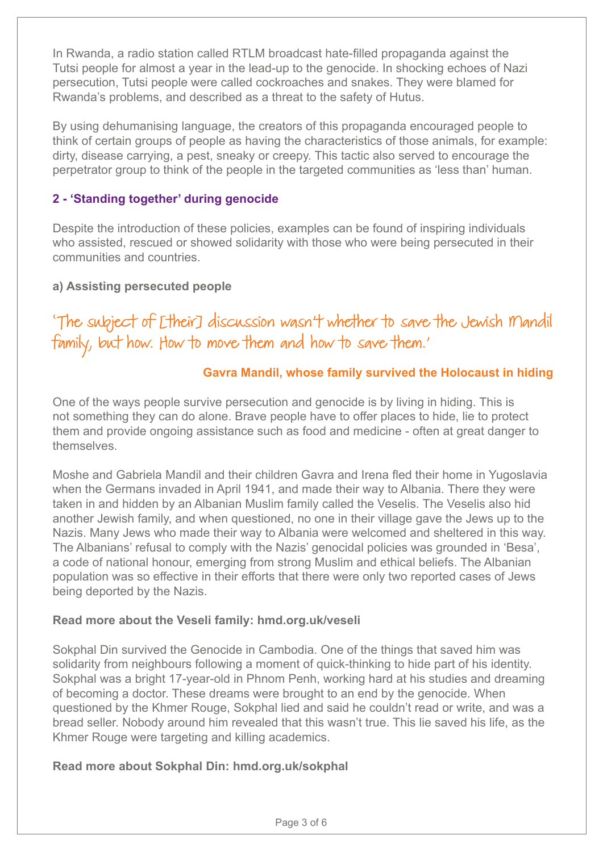In Rwanda, a radio station called RTLM broadcast hate-filled propaganda against the Tutsi people for almost a year in the lead-up to the genocide. In shocking echoes of Nazi persecution, Tutsi people were called cockroaches and snakes. They were blamed for Rwanda's problems, and described as a threat to the safety of Hutus.

By using dehumanising language, the creators of this propaganda encouraged people to think of certain groups of people as having the characteristics of those animals, for example: dirty, disease carrying, a pest, sneaky or creepy. This tactic also served to encourage the perpetrator group to think of the people in the targeted communities as 'less than' human.

#### **2 - 'Standing together' during genocide**

Despite the introduction of these policies, examples can be found of inspiring individuals who assisted, rescued or showed solidarity with those who were being persecuted in their communities and countries.

#### **a) Assisting persecuted people**

# 'The subject of [their] discussion wasn't whether to save the Jewish Mandil family, but how. How to move them and how to save them.'

#### **Gavra Mandil, whose family survived the Holocaust in hiding**

One of the ways people survive persecution and genocide is by living in hiding. This is not something they can do alone. Brave people have to offer places to hide, lie to protect them and provide ongoing assistance such as food and medicine - often at great danger to themselves.

Moshe and Gabriela Mandil and their children Gavra and Irena fled their home in Yugoslavia when the Germans invaded in April 1941, and made their way to Albania. There they were taken in and hidden by an Albanian Muslim family called the Veselis. The Veselis also hid another Jewish family, and when questioned, no one in their village gave the Jews up to the Nazis. Many Jews who made their way to Albania were welcomed and sheltered in this way. The Albanians' refusal to comply with the Nazis' genocidal policies was grounded in 'Besa', a code of national honour, emerging from strong Muslim and ethical beliefs. The Albanian population was so effective in their efforts that there were only two reported cases of Jews being deported by the Nazis.

#### **Read more about the Veseli family: [hmd.org.uk/veseli](http://hmd.org.uk/veseli)**

Sokphal Din survived the Genocide in Cambodia. One of the things that saved him was solidarity from neighbours following a moment of quick-thinking to hide part of his identity. Sokphal was a bright 17-year-old in Phnom Penh, working hard at his studies and dreaming of becoming a doctor. These dreams were brought to an end by the genocide. When questioned by the Khmer Rouge, Sokphal lied and said he couldn't read or write, and was a bread seller. Nobody around him revealed that this wasn't true. This lie saved his life, as the Khmer Rouge were targeting and killing academics.

#### **Read more about Sokphal Din: [hmd.org.uk/sokphal](http://hmd.org.uk/sokphal)**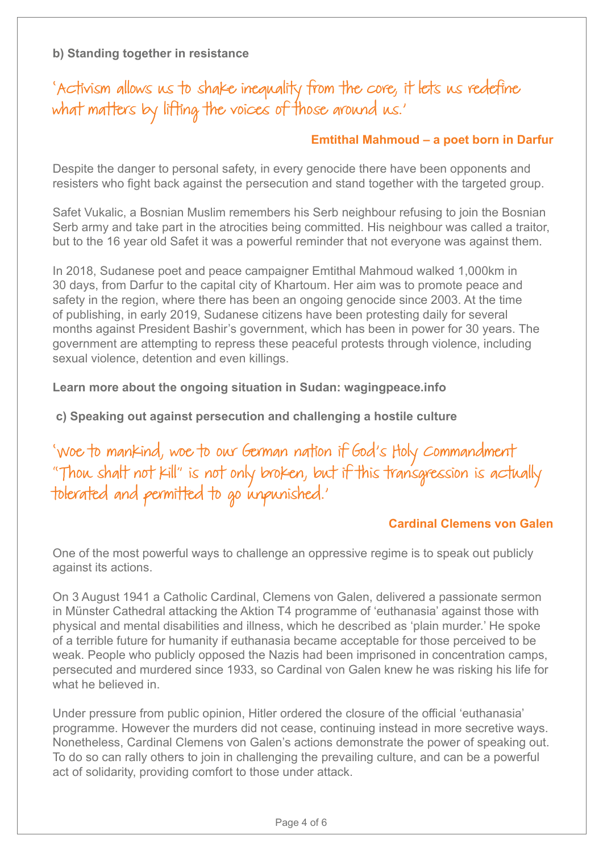**b) Standing together in resistance**

# 'Activism allows us to shake inequality from the core, it lets us redefine what matters by lifting the voices of those around us.'

#### **Emtithal Mahmoud – a poet born in Darfur**

Despite the danger to personal safety, in every genocide there have been opponents and resisters who fight back against the persecution and stand together with the targeted group.

Safet Vukalic, a Bosnian Muslim remembers his Serb neighbour refusing to join the Bosnian Serb army and take part in the atrocities being committed. His neighbour was called a traitor, but to the 16 year old Safet it was a powerful reminder that not everyone was against them.

In 2018, Sudanese poet and peace campaigner Emtithal Mahmoud walked 1,000km in 30 days, from Darfur to the capital city of Khartoum. Her aim was to promote peace and safety in the region, where there has been an ongoing genocide since 2003. At the time of publishing, in early 2019, Sudanese citizens have been protesting daily for several months against President Bashir's government, which has been in power for 30 years. The government are attempting to repress these peaceful protests through violence, including sexual violence, detention and even killings.

**Learn more about the ongoing situation in Sudan: [wagingpeace.info](http://wagingpeace.info)** 

 **c) Speaking out against persecution and challenging a hostile culture**

'Woe to mankind, woe to our German nation if God's Holy Commandment "Thou shalt not kill" is not only broken, but if this transgression is actually tolerated and permitted to go unpunished.'

#### **Cardinal Clemens von Galen**

One of the most powerful ways to challenge an oppressive regime is to speak out publicly against its actions.

On 3 August 1941 a Catholic Cardinal, Clemens von Galen, delivered a passionate sermon in Münster Cathedral attacking the Aktion T4 programme of 'euthanasia' against those with physical and mental disabilities and illness, which he described as 'plain murder.' He spoke of a terrible future for humanity if euthanasia became acceptable for those perceived to be weak. People who publicly opposed the Nazis had been imprisoned in concentration camps, persecuted and murdered since 1933, so Cardinal von Galen knew he was risking his life for what he believed in.

Under pressure from public opinion, Hitler ordered the closure of the official 'euthanasia' programme. However the murders did not cease, continuing instead in more secretive ways. Nonetheless, Cardinal Clemens von Galen's actions demonstrate the power of speaking out. To do so can rally others to join in challenging the prevailing culture, and can be a powerful act of solidarity, providing comfort to those under attack.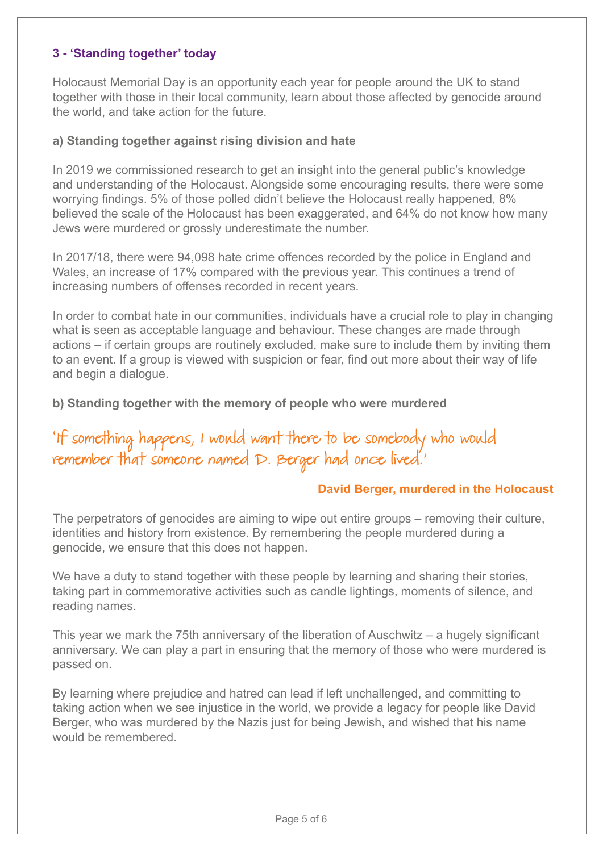#### **3 - 'Standing together' today**

Holocaust Memorial Day is an opportunity each year for people around the UK to stand together with those in their local community, learn about those affected by genocide around the world, and take action for the future.

#### **a) Standing together against rising division and hate**

In 2019 we commissioned research to get an insight into the general public's knowledge and understanding of the Holocaust. Alongside some encouraging results, there were some worrying findings. 5% of those polled didn't believe the Holocaust really happened, 8% believed the scale of the Holocaust has been exaggerated, and 64% do not know how many Jews were murdered or grossly underestimate the number.

In 2017/18, there were 94,098 hate crime offences recorded by the police in England and Wales, an increase of 17% compared with the previous year. This continues a trend of increasing numbers of offenses recorded in recent years.

In order to combat hate in our communities, individuals have a crucial role to play in changing what is seen as acceptable language and behaviour. These changes are made through actions – if certain groups are routinely excluded, make sure to include them by inviting them to an event. If a group is viewed with suspicion or fear, find out more about their way of life and begin a dialogue.

**b) Standing together with the memory of people who were murdered**

'If something happens, I would want there to be somebody who would remember that someone named D. Berger had once lived.'

#### **David Berger, murdered in the Holocaust**

The perpetrators of genocides are aiming to wipe out entire groups – removing their culture, identities and history from existence. By remembering the people murdered during a genocide, we ensure that this does not happen.

We have a duty to stand together with these people by learning and sharing their stories, taking part in commemorative activities such as candle lightings, moments of silence, and reading names.

This year we mark the 75th anniversary of the liberation of Auschwitz – a hugely significant anniversary. We can play a part in ensuring that the memory of those who were murdered is passed on.

By learning where prejudice and hatred can lead if left unchallenged, and committing to taking action when we see injustice in the world, we provide a legacy for people like David Berger, who was murdered by the Nazis just for being Jewish, and wished that his name would be remembered.